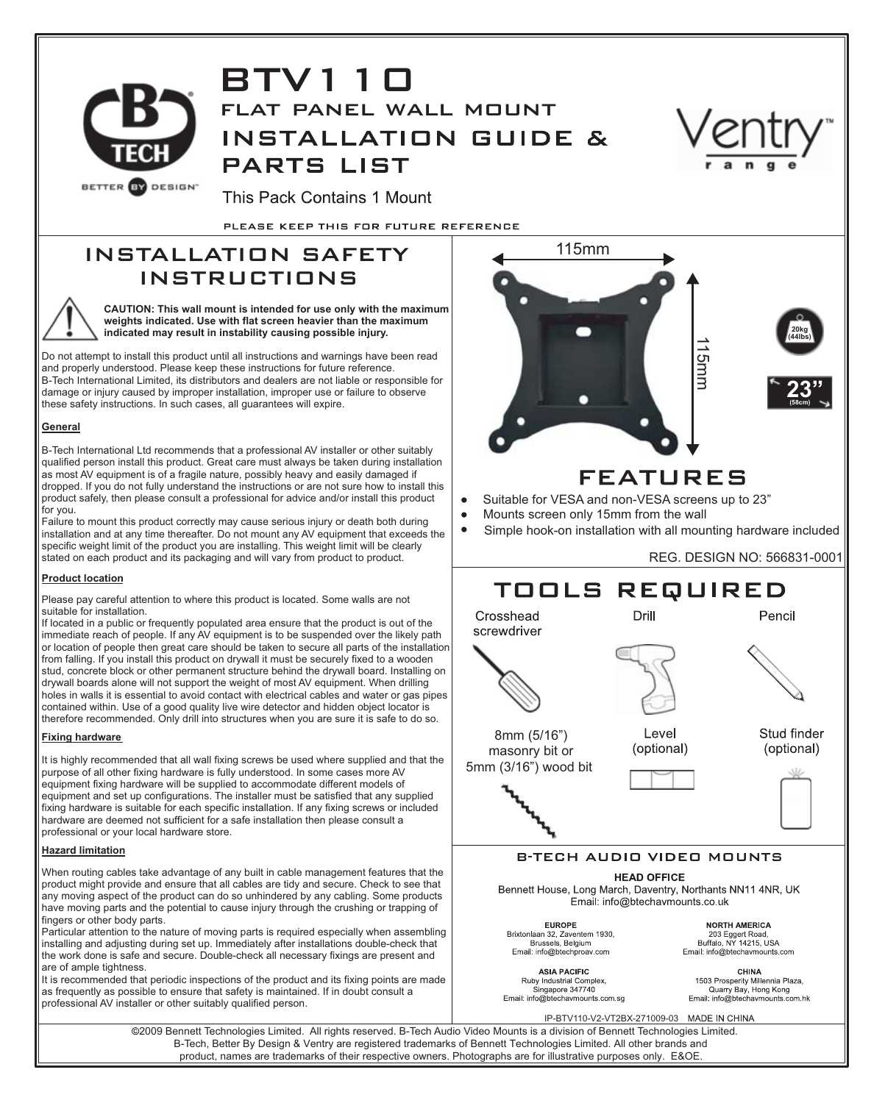

# BTV110 flat panel wall mount **INSTALLATION GUIDE & PARTS LIST**



This Pack Contains 1 Mount

PLEASE KEEP THIS FOR FUTURE REFERENCE

# INSTALLATION SAFETY INSTRUCTIONS



**CAUTION: This wall mount is intended for use only with the maximum weights indicated. Use with flat screen heavier than the maximum indicated may result in instability causing possible injury.** 

Do not attempt to install this product until all instructions and warnings have been read and properly understood. Please keep these instructions for future reference. B-Tech International Limited, its distributors and dealers are not liable or responsible for damage or injury caused by improper installation, improper use or failure to observe these safety instructions. In such cases, all guarantees will expire.

# **General**

B-Tech International Ltd recommends that a professional AV installer or other suitably qualified person install this product. Great care must always be taken during installation as most AV equipment is of a fragile nature, possibly heavy and easily damaged if dropped. If you do not fully understand the instructions or are not sure how to install this product safely, then please consult a professional for advice and/or install this product for you.

Failure to mount this product correctly may cause serious injury or death both during installation and at any time thereafter. Do not mount any AV equipment that exceeds the specific weight limit of the product you are installing. This weight limit will be clearly stated on each product and its packaging and will vary from product to product.

## **Product location**

Please pay careful attention to where this product is located. Some walls are not suitable for installation.

If located in a public or frequently populated area ensure that the product is out of the immediate reach of people. If any AV equipment is to be suspended over the likely path or location of people then great care should be taken to secure all parts of the installation from falling. If you install this product on drywall it must be securely fixed to a wooden stud, concrete block or other permanent structure behind the drywall board. Installing on drywall boards alone will not support the weight of most AV equipment. When drilling holes in walls it is essential to avoid contact with electrical cables and water or gas pipes contained within. Use of a good quality live wire detector and hidden object locator is therefore recommended. Only drill into structures when you are sure it is safe to do so.

# **Fixing hardware**

It is highly recommended that all wall fixing screws be used where supplied and that the purpose of all other fixing hardware is fully understood. In some cases more AV equipment fixing hardware will be supplied to accommodate different models of equipment and set up configurations. The installer must be satisfied that any supplied fixing hardware is suitable for each specific installation. If any fixing screws or included hardware are deemed not sufficient for a safe installation then please consult a professional or your local hardware store.

# **Hazard limitation**

When routing cables take advantage of any built in cable management features that the product might provide and ensure that all cables are tidy and secure. Check to see that any moving aspect of the product can do so unhindered by any cabling. Some products have moving parts and the potential to cause injury through the crushing or trapping of fingers or other body parts.

Particular attention to the nature of moving parts is required especially when assembling installing and adjusting during set up. Immediately after installations double-check that the work done is safe and secure. Double-check all necessary fixings are present and are of ample tightness.

It is recommended that periodic inspections of the product and its fixing points are made as frequently as possible to ensure that safety is maintained. If in doubt consult a professional AV installer or other suitably qualified person.



Brixtonlaan 32, Zaventem 1930,<br>Brussels, Belgium Email: info@btechproav.com **ASIA PACIFIC** 

Ruby Industrial Complex,<br>Singapore 347740

Email: info@btechaymounts.com.sq

Email: info@btechavmounts.com CHINA 1503 Prosperity Millennia Plaza,<br>Quarry Bay, Hong Kong<br>Email: info@btechavmounts.com.hk

IP-BTV110-V2-VT2BX-271009-03

2009 Bennett Technologies Limited. All rights reserved. B-Tech Audio Video Mounts is a division of Bennett Technologies Limited. B-Tech, Better By Design & Ventry are registered trademarks of Bennett Technologies Limited. All other brands and product, names are trademarks of their respective owners. Photographs are for illustrative purposes only. E&OE.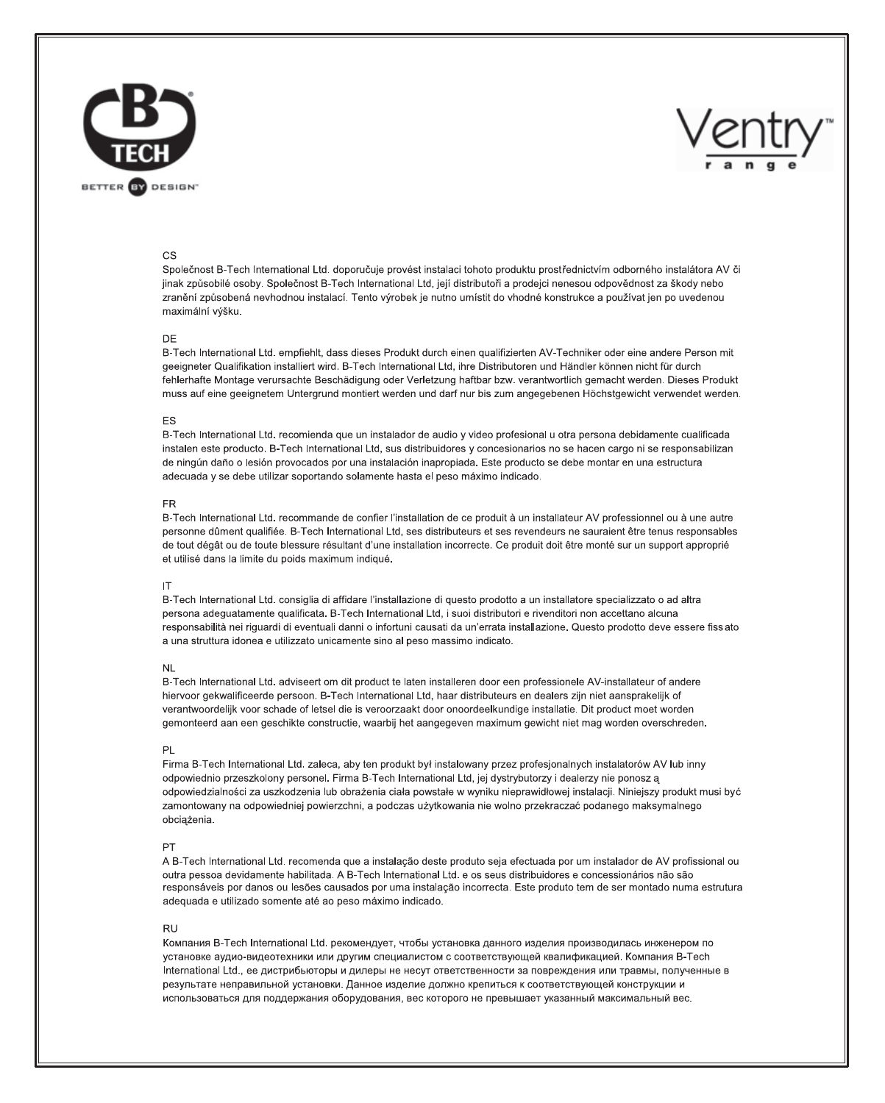



### **CS**

Společnost B-Tech International Ltd, doporučuje provést instalaci tohoto produktu prostřednictvím odborného instalátora AV či jinak způsobilé osoby. Společnost B-Tech International Ltd, její distributoři a prodejci nenesou odpovědnost za škody nebo zranění způsobená nevhodnou instalací. Tento výrobek je nutno umístit do vhodné konstrukce a používat jen po uvedenou maximální výšku.

#### DE

B-Tech International Ltd. empfiehlt, dass dieses Produkt durch einen qualifizierten AV-Techniker oder eine andere Person mit geeigneter Qualifikation installiert wird. B-Tech International Ltd, ihre Distributoren und Händler können nicht für durch fehlerhafte Montage verursachte Beschädigung oder Verletzung haftbar bzw. verantwortlich gemacht werden. Dieses Produkt muss auf eine geeignetem Untergrund montiert werden und darf nur bis zum angegebenen Höchstgewicht verwendet werden.

#### **FS**

B-Tech International Ltd. recomienda que un instalador de audio y video profesional u otra persona debidamente cualificada instalen este producto. B-Tech International Ltd, sus distribuidores y concesionarios no se hacen cargo ni se responsabilizan de ningún daño o lesión provocados por una instalación inapropiada. Este producto se debe montar en una estructura adecuada y se debe utilizar soportando solamente hasta el peso máximo indicado.

#### **FR**

B-Tech International Ltd. recommande de confier l'installation de ce produit à un installateur AV professionnel ou à une autre personne dûment qualifiée. B-Tech International Ltd, ses distributeurs et ses revendeurs ne sauraient être tenus responsables de tout dégât ou de toute blessure résultant d'une installation incorrecte. Ce produit doit être monté sur un support approprié et utilisé dans la limite du poids maximum indiqué.

#### IT

B-Tech International Ltd. consiglia di affidare l'installazione di questo prodotto a un installatore specializzato o ad altra persona adeguatamente qualificata. B-Tech International Ltd, i suoi distributori e rivenditori non accettano alcuna responsabilità nei riguardi di eventuali danni o infortuni causati da un'errata installazione. Questo prodotto deve essere fiss ato a una struttura idonea e utilizzato unicamente sino al peso massimo indicato.

#### NI

B-Tech International Ltd. adviseert om dit product te laten installeren door een professionele AV-installateur of andere hiervoor gekwalificeerde persoon. B-Tech International Ltd, haar distributeurs en dealers zijn niet aansprakelijk of verantwoordelijk voor schade of letsel die is veroorzaakt door onoordeelkundige installatie. Dit product moet worden gemonteerd aan een geschikte constructie, waarbij het aangegeven maximum gewicht niet mag worden overschreden.

#### PI

Firma B-Tech International Ltd. zaleca, aby ten produkt był instalowany przez profesjonalnych instalatorów AV lub inny odpowiednio przeszkolony personel. Firma B-Tech International Ltd, jej dystrybutorzy i dealerzy nie ponosz a odpowiedzialności za uszkodzenia lub obrażenia ciała powstałe w wyniku nieprawidłowej instalacji. Niniejszy produkt musi być zamontowany na odpowiedniej powierzchni, a podczas użytkowania nie wolno przekraczać podanego maksymalnego obciążenia.

#### PT

A B-Tech International Ltd, recomenda que a instalação deste produto seia efectuada por um instalador de AV profissional ou outra pessoa devidamente habilitada. A B-Tech International Ltd. e os seus distribuidores e concessionários não são responsáveis por danos ou lesões causados por uma instalação incorrecta. Este produto tem de ser montado numa estrutura adequada e utilizado somente até ao peso máximo indicado.

#### **RU**

Компания B-Tech International Ltd. рекомендует, чтобы установка данного изделия производилась инженером по установке аудио-видеотехники или другим специалистом с соответствующей квалификацией. Компания B-Tech International Ltd., ее дистрибьюторы и дилеры не несут ответственности за повреждения или травмы, полученные в результате неправильной установки. Данное изделие должно крепиться к соответствующей конструкции и использоваться для поддержания оборудования, вес которого не превышает указанный максимальный вес.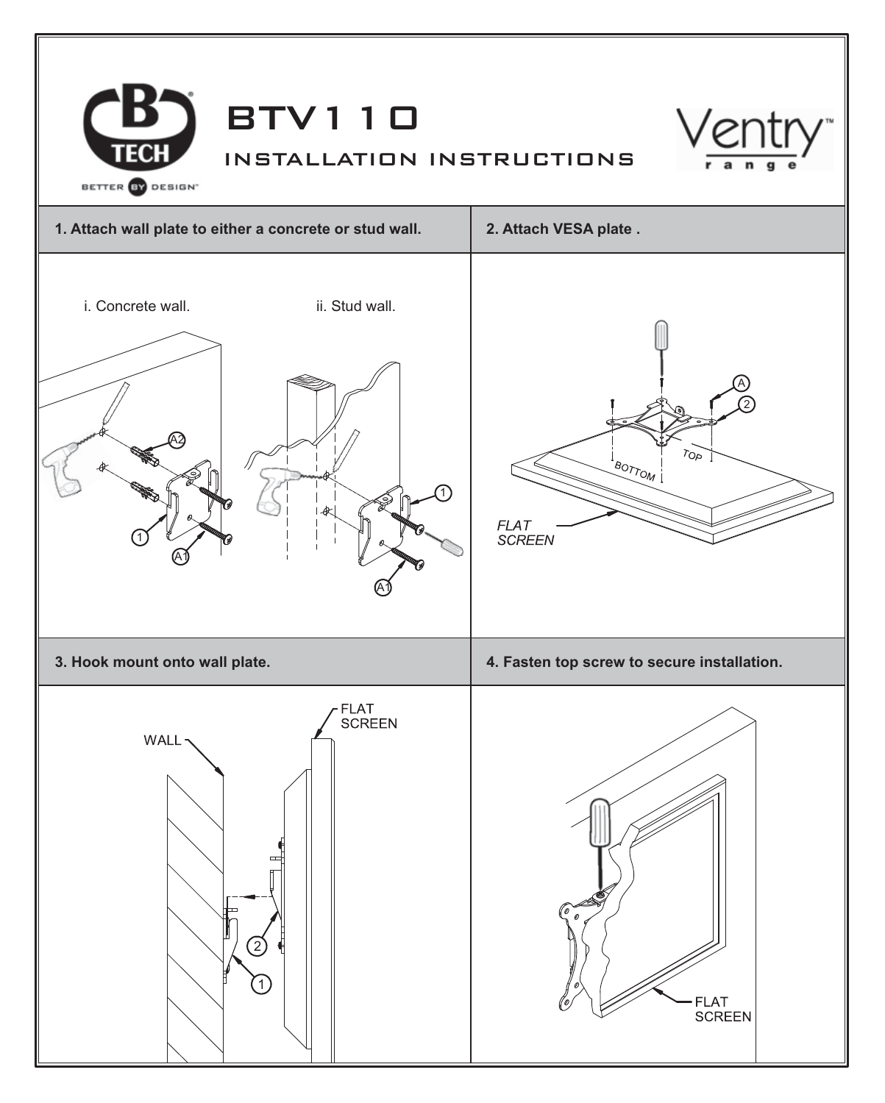